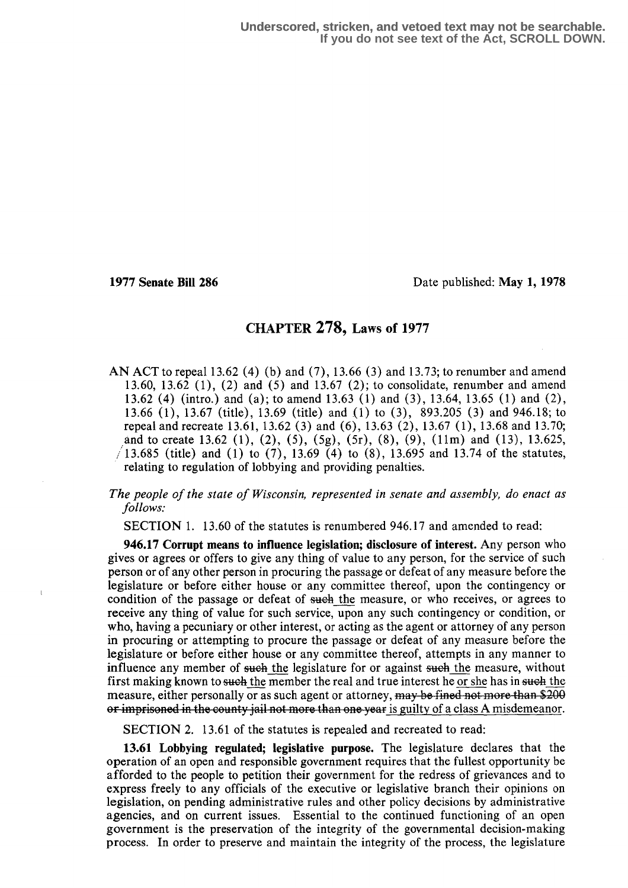$\mathbf{I}$ 

1977 Senate Bill 286 Date published: May 1, 1978

# CHAPTER 278, Laws of 1977

AN ACT to repeal 13.62 (4) (b) and  $(7)$ , 13.66 (3) and 13.73; to renumber and amend 13.60, 13.62 (1), (2) and (5) and 13.67 (2); to consolidate, renumber and amend 13.62 (4) (intro.) and (a); to amend 13.63 (1) and (3), 13.64, 13.65 (1) and (2), 13.66 (1), 13.67 (title), 13.69 (title) and (1) to (3), 893.205 (3) and 946.18; to repeal and recreate 13.61, 13 .62 (3) and (6), 13.63 (2), 13.67 (1), 13.68 and 13 .70; and to create 13.62 (1), (2), (5), (5g), (5r), (8), (9), (11m) and (13), 13.625,  $/13.685$  (title) and (1) to (7), 13.69 (4) to (8), 13.695 and 13.74 of the statutes, relating to regulation of lobbying and providing penalties.

## The people of the state of Wisconsin, represented in senate and assembly, do enact as follows.

SECTION 1. 13 .60 of the statutes is renumbered 946.17 and amended to read:

946.17 Corrupt means to influence legislation; disclosure of interest . Any person who gives or agrees or offers to give any thing of value to any person, for the service of such person or of any other person in procuring the passage or defeat of any measure before the legislature or before either house or any committee thereof, upon the contingency or condition of the passage or defeat of such the measure, or who receives, or agrees to receive any thing of value for such service, upon any such contingency or condition, or who, having a pecuniary or other interest, or acting as the agent or attorney of any person in procuring or attempting to procure the passage or defeat of any measure before the legislature or before either house or any committee thereof, attempts in any manner to influence any member of such the legislature for or against such the measure, without first making known to such the member the real and true interest he or she has in such the measure, either personally or as such agent or attorney,  $\frac{may}{,$  be fined not more than \$200 or imprisoned in the county jail not more than one year is guilty of a class A misdemeanor.

SECTION 2. 13.61 of the statutes is repealed and recreated to read:

13.61 Lobbying regulated; legislative purpose. The legislature declares that the operation of an open and responsible government requires that the fullest opportunity be afforded to the people to petition their government for the redress of grievances and to express freely to any officials of the executive or legislative branch their opinions on legislation, on pending administrative rules and other policy decisions by administrative agencies, and on current issues . Essential to the continued functioning of an open government is the preservation of the integrity of the governmental decision-making process. In order to preserve and maintain the integrity of the process, the legislature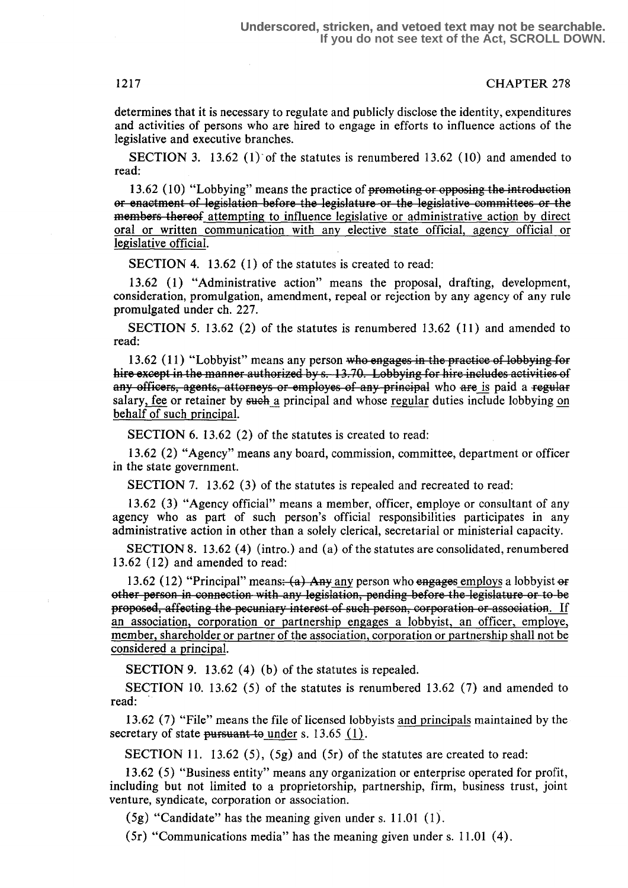determines that it is necessary to regulate and publicly disclose the identity, expenditures and activities of persons who are hired to engage in efforts to influence actions of the legislative and executive branches.

SECTION 3. 13.62 (1) of the statutes is renumbered 13.62 (10) and amended to read:

13.62 (10) "Lobbying" means the practice of promoting or opposing the introduction or enactment of legislation before the legislature or the legislative committees or the members thereof attempting to influence legislative or administrative action by direct oral or written communication with any elective state official, agency official or legislative official.

SECTION 4. 13.62 (1) of the statutes is created to read:

13 .62 (1) "Administrative action" means the proposal, drafting, development, consideration, promulgation, amendment, repeal or rejection by any agency of any rule promulgated under ch. 227.

SECTION 5. 13.62 (2) of the statutes is renumbered 13.62 (11) and amended to read:

13.62 (11) "Lobbyist" means any person who engages in the practice of lobbying for hire except in the manner authorized by s. 13.70. Lobbying for hire includes activities of ents, attorneys or employes of any principal who are is paid a salary, fee or retainer by such a principal and whose regular duties include lobbying on behalf of such principal.

SECTION 6. 13.62 (2) of the statutes is created to read:

13.62 (2) "Agency" means any board, commission, committee, department or officer in the state government.

SECTION 7. 13.62 (3) of the statutes is repealed and recreated to read:

<sup>13</sup> .62 (3) "Agency official" means a member, officer, employe or consultant of any agency who as part of such person's official responsibilities participates in any administrative action in other than a solely clerical, secretarial or ministerial capacity.

SECTION 8. 13.62 (4) (intro.) and (a) of the statutes are consolidated, renumbered 13.62 (12) and amended to read:

13.62 (12) "Principal" means:  $(a)$  Any any person who engages employs a lobbyist or other person in connection with any legislation, pending before the legislature or to be proposed, affecting the pecuniary interest of such person, corporation or association. If an association, corporation or partnership engages a lobbyist, an officer, employe, member, shareholder or partner of the association, corporation or partnership shall not be considered a principal.

SECTION 9. 13.62  $(4)$  (b) of the statutes is repealed.

SECTION 10. 13.62 (5) of the statutes is renumbered 13.62 (7) and amended to read:

13.62 (7) "File" means the file of licensed lobbyists and principals maintained by the secretary of state pursuant to under s. 13.65  $(1)$ .

SECTION 11. 13.62 (5),  $(5g)$  and  $(5r)$  of the statutes are created to read:

13 .62 (5) "Business entity" means any organization or enterprise operated for profit, including but not limited to a proprietorship, partnership, firm, business trust, joint venture, syndicate, corporation or association.

 $(5g)$  "Candidate" has the meaning given under s. 11.01 (1).

(5r) "Communications media" has the meaning given under s. 11 .01 (4) .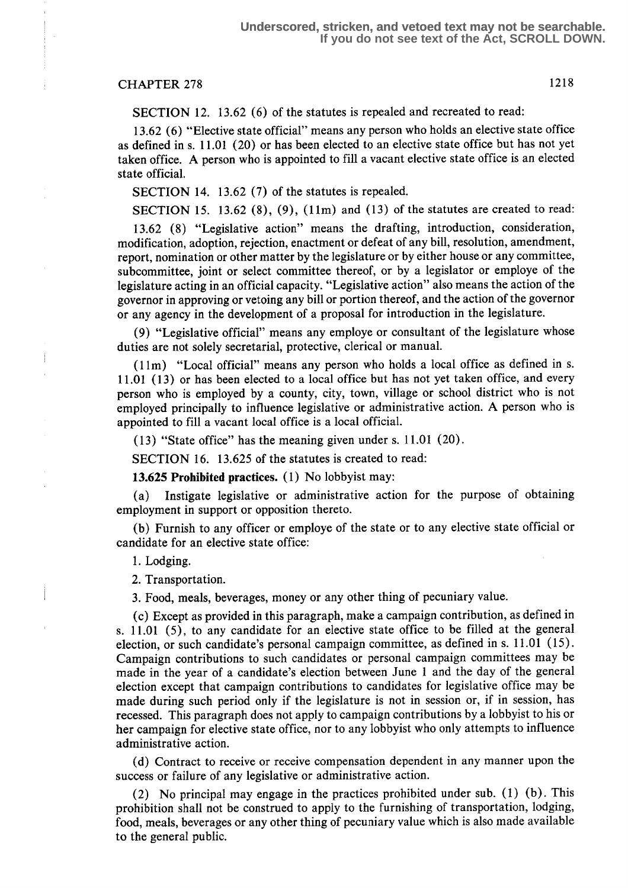# CHAPTER 278 1218

SECTION 12. 13.62 (6) of the statutes is repealed and recreated to read:

13.62 (6) "Elective state official" means any person who holds an elective state office as defined in s. 11.01 (20) or has been elected to an elective state office but has not yet taken office . A person who is appointed to fill a vacant elective state office is an elected state official.

SECTION 14. 13.62 (7) of the statutes is repealed.

SECTION 15. 13.62  $(8)$ ,  $(9)$ ,  $(11m)$  and  $(13)$  of the statutes are created to read:

13.62 (8) "Legislative action" means the drafting, introduction, consideration, modification, adoption, rejection, enactment or defeat of any bill, resolution, amendment, report, nomination or other matter by the legislature or by either house or any committee, subcommittee, joint or select committee thereof, or by a legislator or employe of the legislature acting in an official capacity. "Legislative action" also means the action of the governor in approving or vetoing any bill or portion thereof, and the action of the governor or any agency in the development of a proposal for introduction in the legislature.

(9) "Legislative official" means any employe or consultant of the legislature whose duties are not solely secretarial, protective, clerical or manual.

(1 lm) "Local official" means any person who holds a local office as defined in s. 11 .01 (13) or has been elected to a local office but has not yet taken office, and every person who is employed by a county, city, town, village or school district who is not employed principally to influence legislative or administrative action . A person who is appointed to fill a vacant local office is a local official.

(13) "State office" has the meaning given under s. 11 .01 (20) .

SECTION 16. 13.625 of the statutes is created to read:

13.625 Prohibited practices. (1) No lobbyist may:

(a) Instigate legislative or administrative action for the purpose of obtaining employment in support or opposition thereto.

(b) Furnish to any officer or employe of the state or to any elective state official or candidate for an elective state office:

1. Lodging.

Ť

2. Transportation.

<sup>3</sup> . Food, meals, beverages, money or any other thing of pecuniary value.

(c) Except as provided in this paragraph, make a campaign contribution, as defined in s. 11 .01 (5), to any candidate for an elective state office to be filled at the general election, or such candidate's personal campaign committee, as defined in s. 11 .01 (15) . Campaign contributions to such candidates or personal campaign committees may be made in the year of a candidate's election between June 1 and the day of the general election except that campaign contributions to candidates for legislative office may be made during such period only if the legislature is not in session or, if in session, has recessed. This paragraph does not apply to campaign contributions by a lobbyist to his or her campaign for elective state office, nor to any lobbyist who only attempts to influence administrative action .

(d) Contract to receive or receive compensation dependent in any manner upon the success or failure of any legislative or administrative action.

(2) No principal may engage in the practices prohibited under sub. (1) (b) . This prohibition shall not be construed to apply to the furnishing of transportation, lodging, food, meals, beverages or any other thing of pecuniary value which is also made available to the general public.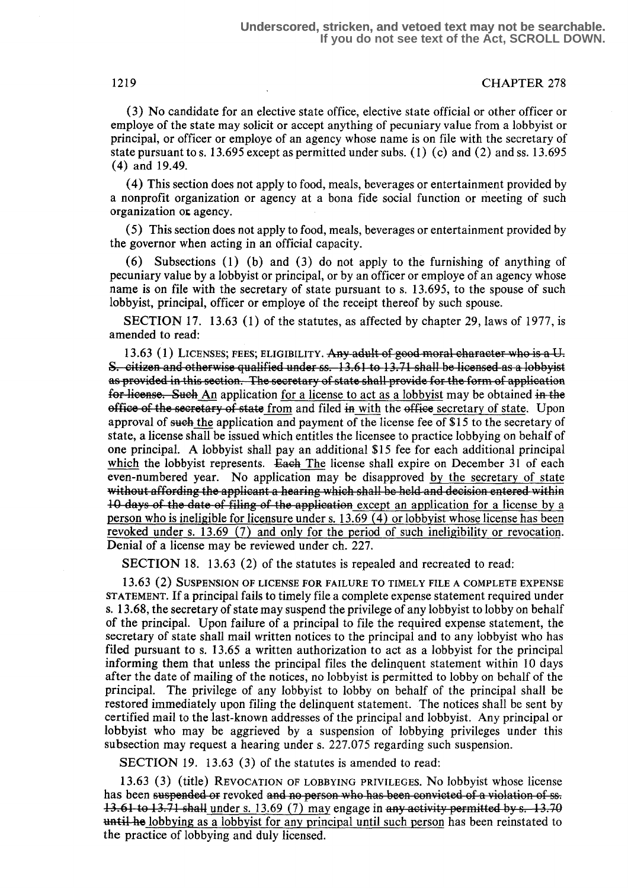(3) No candidate for an elective state office, elective state official or other officer or employe of the state may solicit or accept anything of pecuniary value from a lobbyist or principal, or officer or employe of an agency whose name is on file with the secretary of state pursuant to s. 13.695 except as permitted under subs. (1) (c) and (2) and ss. 13.695 (4) and 19.49.

(4) This section does not apply to food, meals, beverages or entertainment provided by a nonprofit organization or agency at a bona fide social function or meeting of such organization or agency.

(5) This section does not apply to food, meals, beverages or entertainment provided by the governor when acting in an official capacity.

(6) Subsections (1) (b) and (3) do not apply to the furnishing of anything of pecuniary value by a lobbyist or principal, or by an officer or employe of an agency whose name is on file with the secretary of state pursuant to s. 13 .695, to the spouse of such lobbyist, principal, officer or employe of the receipt thereof by such spouse.

SECTION 17. 13.63 (1) of the statutes, as affected by chapter 29, laws of 1977, is amended to read:

13.63 (1) LICENSES; FEES; ELIGIBILITY. Any adult of good moral character who is a U. S. citizen and otherwise qualified under ss. 13.61 to 13.71 shall be licensed as a lobbyist as provided in this section. The secretary of state shall provide for the form of application for license. Such An application for a license to act as a lobbyist may be obtained in the office of the secretary of state from and filed in with the office secretary of state. Upon approval of such the application and payment of the license fee of \$15 to the secretary of state, a license shall be issued which entitles the licensee to practice lobbying on behalf of one principal. A lobbyist shall pay an additional \$15 fee for each additional principal which the lobbyist represents. Each The license shall expire on December 31 of each even-numbered year. No application may be disapproved by the secretary of state without affording the applicant a hearing which shall be held and decision entered within 10 days of the date of filing of the application except an application for a license by a person who is ineligible for licensure under s. 13.69 (4) or lobbyist whose license has been revoked under s. 13.69 (7) and only for the period of such ineligibility or revocation. Denial of a license may be reviewed under ch. 227.

SECTION 18. 13.63 (2) of the statutes is repealed and recreated to read:

13.63 (2) SUSPENSION OF LICENSE FOR FAILURE TO TIMELY FILE A COMPLETE EXPENSE STATEMENT. If a principal fails to timely file a complete expense statement required under s. 13.68, the secretary of state may suspend the privilege of any lobbyist to lobby on behalf of the principal. Upon failure of a principal to file the required expense statement, the secretary of state shall mail written notices to the principal and to any lobbyist who has filed pursuant to s. 13.65 a written authorization to act as a lobbyist for the principal informing them that unless the principal files the delinquent statement within 10 days after the date of mailing of the notices, no lobbyist is permitted to lobby on behalf of the principal. The privilege of any lobbyist to lobby on behalf of the principal shall be restored immediately upon filing the delinquent statement. The notices shall be sent by certified mail to the last-known addresses of the principal and lobbyist . Any principal or lobbyist who may be aggrieved by a suspension of lobbying privileges under this subsection may request a hearing under s. 227.075 regarding such suspension.

SECTION 19. 13.63 (3) of the statutes is amended to read:

13. <sup>63</sup>(3) (title) REVOCATION OF LOBBYING PRIVILEGES. NO lobbyist whose license has been suspended or revoked and no person who has been convicted of a violation of ss.  $13.61$  to 13.71 shall under s. 13.69 (7) may engage in any activity permitted by s.  $-13.70$ until he lobbying as a lobbyist for any principal until such person has been reinstated to the practice of lobbying and duly licensed .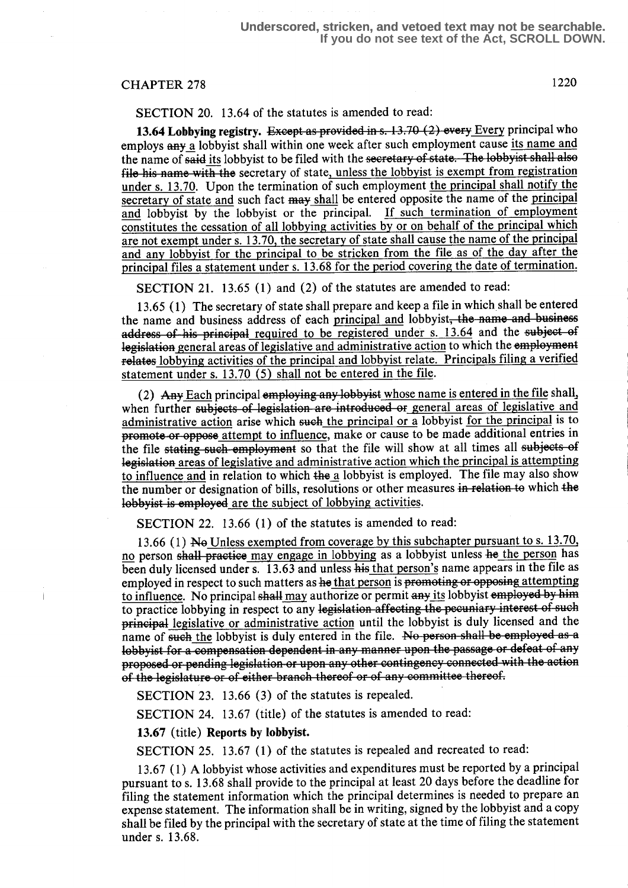1220

SECTION 20. 13.64 of the statutes is amended to read:

13.64 Lobbying registry. Except as provided in s.  $13.70$  (2) every Every principal who employs any a lobbyist shall within one week after such employment cause its name and the name of said its lobbyist to be filed with the secretary of state. The lobbyist shall also file his name with the secretary of state, unless the lobbyist is exempt from registration under s. 13.70. Upon the termination of such employment the principal shall notify the secretary of state and such fact may shall be entered opposite the name of the principal and lobbyist by the lobbyist or the principal. If such termination of employment constitutes the cessation of all lobbying activities by or on behalf of the principal which are not exempt under s. 13.70, the secretary of state shall cause the name of the principal and any lobbyist for the principal to be stricken from the file as of the day after the principal files a statement under s. 13.68 for the period covering the date of termination.

SECTION 21. 13.65 (1) and (2) of the statutes are amended to read:

13.65 (1) The secretary of state shall prepare and keep a file in which. shall be entered the name and business address of each <u>principal and</u> lobbyist, the name and business address of his principal required to be registered under s. 13.64 and the subject of legislation general areas of legislative and administrative action to which the employment relates lobbying activities of the principal and lobbyist relate. Principals filing a verified statement under s. 13.70 (5) shall not be entered in the file.

(2) Any Each principal employing any lobbyist whose name is entered in the file shall, when further subjects of legislation are introduced or general areas of legislative and administrative action arise which such the principal or a lobbyist for the principal is to promote or oppose attempt to influence, make or cause to be made additional entries in the file stating such employment so that the file will show at all times all subjects of legislation areas of legislative and administrative action which the principal is attempting to influence and in relation to which the a lobbyist is employed. The file may also show the number or designation of bills, resolutions or other measures in relation to which the lobbyist is employed are the subject of lobbying activities.

SECTION 22. 13.66 (1) of the statutes is amended to read:

13.66 (1) No Unless exempted from coverage by this subchapter pursuant to s. 13.70, no person shall practice may engage in lobbying as a lobbyist unless he the person has been duly licensed under s. 13.63 and unless his that person's name appears in the file as employed in respect to such matters as he that person is promoting or opposing attempting to influence. No principal shall may authorize or permit any its lobbyist employed by him to practice lobbying in respect to any legislation affecting the pecuniary interest of such **principal** legislative or administrative action until the lobbyist is duly licensed and the name of such the lobbyist is duly entered in the file. No person shall be employed as a lobbyist for a compensation dependent in any manner upon the passage or defeat of any proposed or pending legislation or upon any other contingency connected with the action of the legislature or of either branch thereof or of any committee thereof.

SECTION 23. 13.66 (3) of the statutes is repealed.

SECTION 24. 13.67 (title) of the statutes is amended to read:

13.67 (title) Reports by lobbyist.

SECTION 25. 13.67 (1) of the statutes is repealed and recreated to read:

<sup>13</sup> .67 (1) A lobbyist whose activities and expenditures must be reported by a principal pursuant to s. 13.68 shall provide to the principal at least 20 days before the deadline for filing the statement information which the principal determines is needed to prepare an expense statement. The information shall be in writing, signed by the lobbyist and a copy shall be filed by the principal with the secretary of state at the time of filing the statement under s. 13.68.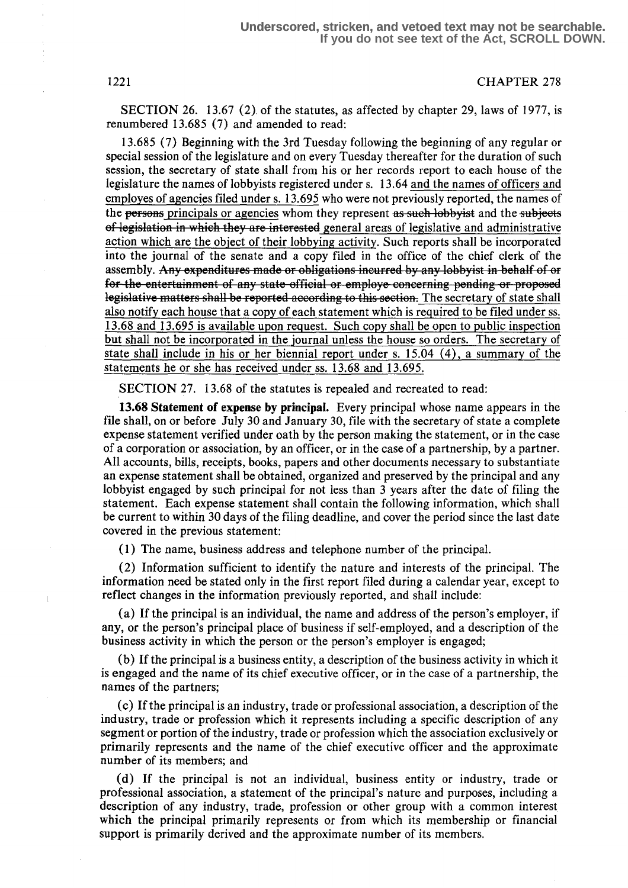SECTION 26. 13.67 (2). of the statutes, as affected by chapter 29, laws of 1977, is renumbered 13.685 (7) and amended to read:

13.685 (7) Beginning with the 3rd Tuesday following the beginning of any regular or special session of the legislature and on every Tuesday thereafter for the duration of such session, the secretary of state shall from his or her records report to each house of the legislature the names of lobbyists registered under s. 13.64 and the names of officers and employes of agencies filed under s. 13 .695 who were not previously reported, the names of the persons principals or agencies whom they represent as such lobby is and the subjects of legislation in which they are interested general areas of legislative and administrative action which are the object of their lobbying activity. Such reports shall be incorporated into the journal of the senate and a copy filed in the office of the chief clerk of the assembly. Any expenditures made or obligations incurred by any lobby ist in behalf of or for the entertainment of any state official or employe concerning pending or proposed legislative matters shall be reported according to this section. The secretary of state shall also notify each house that a copy of each statement which is required to be filed under ss. 13.68 and 13 .695 is available upon request. Such copy shall be open to public inspection but shall not be incorporated in the journal unless the house so orders . The secretary of state shall include in his or her biennial report under s. 15.04 (4), a summary of the statements he or she has received under ss. 13.68 and 13.695.

SECTION 27. 13.68 of the statutes is repealed and recreated to read:

13.68 Statement of expense by principal. Every principal whose name appears in the file shall, on or before July 30 and January 30, file with the secretary of state a complete expense statement verified under oath by the person making the statement, or in the case of a corporation or association, by an officer, or in the case of a partnership, by a partner. All accounts, bills, receipts, books, papers and other documents necessary to substantiate an expense statement shall be obtained, organized and preserved by the principal and any lobbyist engaged by such principal for not less than 3 years after the date of filing the statement. Each expense statement shall contain the following information, which shall be current to within 30 days of the filing deadline, and cover the period since the last date covered in the previous statement:

(1) The name, business address and telephone number of the principal .

(2) Information sufficient to identify the nature and interests of the principal. The information need be stated only in the first report filed during a calendar year, except to reflect changes in the information previously reported, and shall include:

(a) If the principal is an individual, the name and address of the person's employer, if any, or the person's principal place of business if self-employed, and a description of the business activity in which the person or the person's employer is engaged;

(b) If the principal is a business entity, a description of the business activity in which it is engaged and the name of its chief executive officer, or in the case of a partnership, the names of the partners;

(c) If the principal is an industry, trade or professional association, a description of the industry, trade or profession which it represents including a specific description of any segment or portion of the industry, trade or profession which the association exclusively or primarily represents and the name of the chief executive officer and the approximate number of its members; and

(d) If the principal is not an individual, business entity or industry, trade or professional association, a statement of the principal's nature and purposes, including a description of any industry, trade, profession or other group with a common interest which the principal primarily represents or from which its membership or financial support is primarily derived and the approximate number of its members.

 $\overline{1}$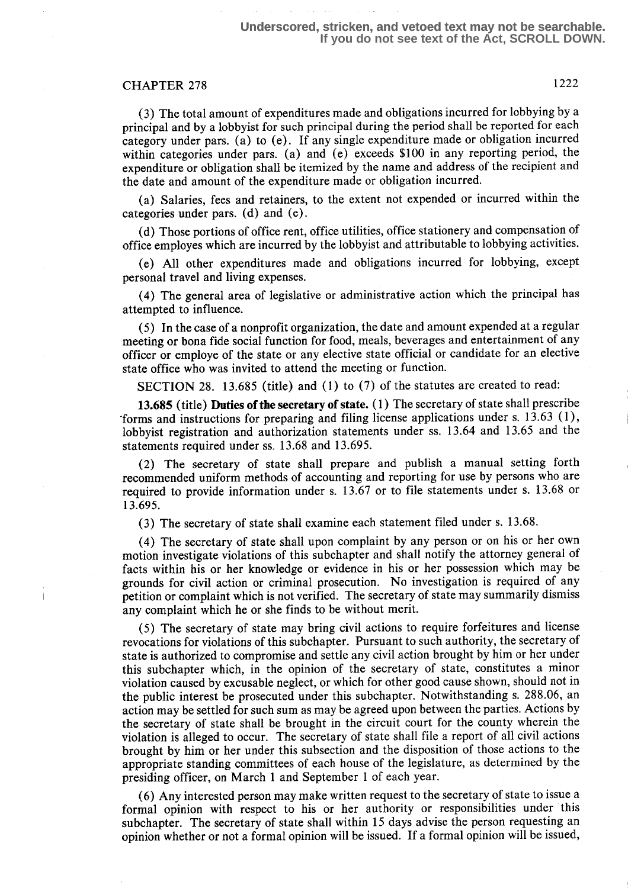## **Underscored, stricken, and vetoed text may not be searchable. If you do not see text of the Act, SCROLL DOWN.**

# CHAPTER 278 1222

(3) The total amount of expenditures made and obligations incurred for lobbying by a principal and by a lobbyist for such principal during the period shall be reported for each category under pars . (a) to (e) . If any single expenditure made or obligation incurred within categories under pars. (a) and (e) exceeds \$100 in any reporting period, the expenditure or obligation shall be itemized by the name and address of the recipient and the date and amount of the expenditure made or obligation incurred.

(a) Salaries, fees and retainers, to the extent not expended or incurred within the categories under pars . (d) and (e) .

(d) Those portions of office rent, office utilities, office stationery and compensation of office employes which are incurred by the lobbyist and attributable to lobbying activities .

(e) All other expenditures made and obligations incurred for lobbying, except personal travel and living expenses.

(4) The general area of legislative or administrative action which the principal has attempted to influence.

(5) In the case of a nonprofit organization, the date and amount expended at a regular meeting or bona fide social function for food, meals, beverages and entertainment of any officer or employe of the state or any elective state official or candidate for an elective state office who was invited to attend the meeting or function.

SECTION 28. 13.685 (title) and (1) to (7) of the statutes are created to read:

13.685 (title) Duties of the secretary of state. (1) The secretary of state shall prescribe 'forms and instructions for preparing and filing license applications under s. 13 .63 (1), lobbyist registration and authorization statements under ss. 13.64 and 13.65 and the statements required under ss. 13.68 and 13.695.

(2) The secretary of state shall prepare and publish a manual setting forth recommended uniform methods of accounting and reporting for use by persons who are required to provide information under s. 13 .67 or to file statements under s. 13 .68 or 13.695.

(3) The secretary of state shall examine each statement filed under s.  $13.68$ .

(4) The secretary of state shall upon complaint by any person or on his or her own motion investigate violations of this subchapter and shall notify the attorney general of facts within his or her knowledge or evidence in his or her possession which may be grounds for civil action or criminal prosecution. No investigation is required of any petition or complaint which is not verified . The secretary of state may summarily dismiss any complaint which he or she finds to be without merit.

(5) The secretary of state may bring civil actions to require forfeitures and license revocations for violations of this subchapter. Pursuant to such authority, the secretary of state is authorized to compromise and settle any civil action brought by him or her under this subchapter which, in the opinion of the secretary of state, constitutes a minor violation caused by excusable neglect, or which for other good cause shown, should not in the public interest be prosecuted under this subchapter. Notwithstanding s. 288.06, an action may be settled for such sum as may be agreed upon between the parties. Actions by the secretary of state shall be brought in the circuit court for the county wherein the violation is alleged to occur. The secretary of state shall file a report of all civil actions brought by him or her under this subsection and the disposition of those actions to the appropriate standing committees of each house of the legislature, as determined by the presiding officer, on March 1 and September 1 of each year.

(6) Any interested person may make written request to the secretary of state to issue a formal opinion with respect to his or her authority or responsibilities under this subchapter. The secretary of state shall within 15 days advise the person requesting an opinion whether or not a formal opinion will be issued. If a formal opinion will be issued,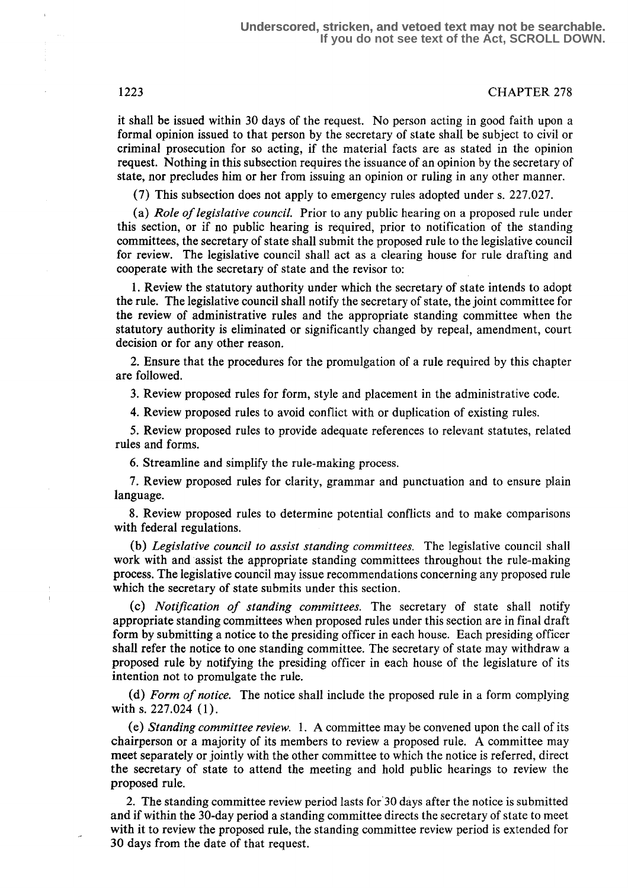it shall be issued within 30 days of the request. No person acting in good faith upon a formal opinion issued to that person by the secretary of state shall be subject to civil or criminal prosecution for so acting, if the material facts are as stated in the opinion request. Nothing in this subsection requires the issuance of an opinion by the secretary of state, nor precludes him or her from issuing an opinion or ruling in any other manner.

(7) This subsection does not apply to emergency rules adopted under s. 227.027.

(a) Role of legislative council. Prior to any public hearing on a proposed rule under this section, or if no public hearing is required, prior to notification of the standing committees, the secretary of state shall submit the proposed rule to the legislative council for review. The legislative council shall act as a clearing house for rule drafting and cooperate with the secretary of state and the revisor to:

<sup>1</sup> . Review the statutory authority under which the secretary of state intends to adopt the rule. The legislative council shall notify the secretary of state, the joint committee for the review of administrative rules and the appropriate standing committee when the statutory authority is eliminated or significantly changed by repeal, amendment, court decision or for any other reason.

2. Ensure that the procedures for the promulgation of a rule required by this chapter are followed.

3. Review proposed rules for form, style and placement in the administrative code.

4. Review proposed rules to avoid conflict with or duplication of existing rules.

5. Review proposed rules to provide adequate references to relevant statutes, related rules and forms.

6. Streamline and simplify the rule-making process.

7. Review proposed rules for clarity, grammar and punctuation and to ensure plain language.

8. Review proposed rules to determine potential conflicts and to make comparisons with federal regulations.

(b) Legislative council to assist standing committees. The legislative council shall work with and assist the appropriate standing committees throughout the rule-making process. The legislative council may issue recommendations concerning any proposed rule which the secretary of state submits under this section.

(c) Notification of standing committees. The secretary of state shall notify appropriate standing committees when proposed rules under this section are in final draft form by submitting a notice to the presiding officer in each house. Each presiding officer shall refer the notice to one standing committee. The secretary of state may withdraw a proposed rule by notifying the presiding officer in each house of the legislature of its intention not to promulgate the rule.

(d) Form of notice. The notice shall include the proposed rule in a form complying with s. 227.024 (1).

(e) Standing committee review. 1 . A committee may be convened upon the call of its chairperson or a majority of its members to review a proposed rule. A committee may meet separately or jointly with the other committee to which the notice is referred, direct the secretary of state to attend the meeting and hold public hearings to review the proposed rule.

2. The standing committee review period lasts for 30 days after the notice is submitted and if within the 30-day period a standing committee directs the secretary of state to meet with it to review the proposed rule, the standing committee review period is extended for 30 days from the date of that request.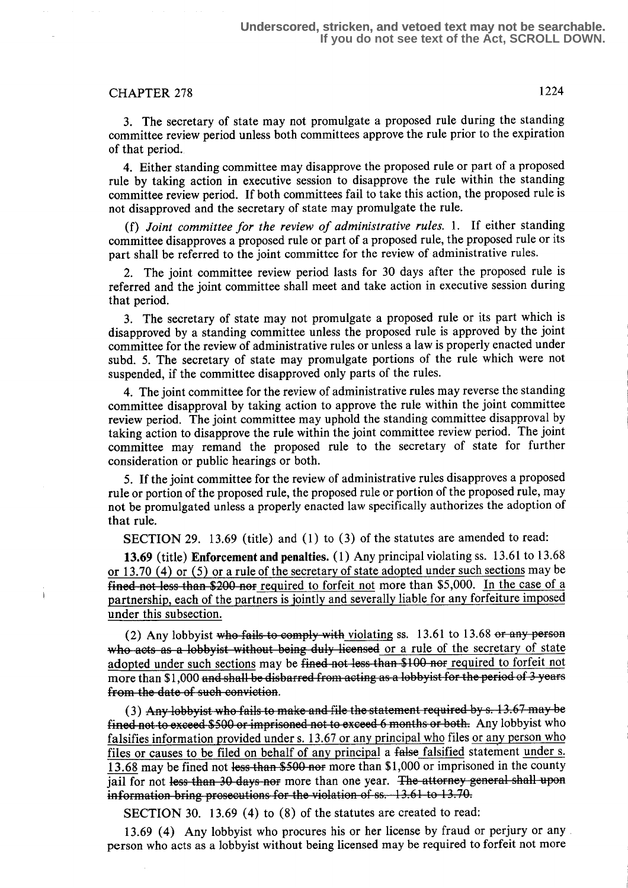# CHAPTER 278 1224

<sup>3</sup> . The secretary of state may not promulgate a proposed rule during the standing committee review period unless both committees approve the rule prior to the expiration of that period.

4. Either standing committee may disapprove the proposed rule or part of a proposed rule by taking action in executive session to disapprove the rule within the standing committee review period. If both committees fail to take this action, the proposed rule is not disapproved and the secretary of state may promulgate the rule.

(f) Joint committee for the review of administrative rules. 1. If either standing committee disapproves a proposed rule or part of a proposed rule, the proposed rule or its part shall be referred to the joint committee for the review of administrative rules.

2. The joint committee review period lasts for 30 days after the proposed rule is referred and the joint committee shall meet and take action in executive session during that period.

3. The secretary of state may not promulgate a proposed rule or its part which is disapproved by a standing committee unless the proposed rule is approved by the joint committee for the review of administrative rules or unless a law is properly enacted under subd. 5. The secretary of state may promulgate portions of the rule which were not suspended, if the committee disapproved only parts of the rules.

4. The joint committee for the review of administrative rules may reverse the standing committee disapproval by taking action to approve the rule within the joint committee review period. The joint committee may uphold the standing committee disapproval by taking action to disapprove the rule within the joint committee review period. The joint committee may remand the proposed rule to the secretary of state for further consideration or public hearings or both.

5. If the joint committee for the review of administrative rules disapproves a proposed rule or portion of the proposed rule, the proposed rule or portion of the proposed rule, may not be promulgated unless a properly enacted law specifically authorizes the adoption of that rule.

SECTION 29. 13.69 (title) and (1) to (3) of the statutes are amended to read:

13.69 (title) Enforcement and penalties. (1) Any principal violating ss. 13.61 to 13.68 or 13 .70 (4) or (5) or a rule of the secretary of state adopted under such sections may be  $fined$  not less than \$200 nor required to forfeit not more than \$5,000. In the case of a partnership, each of the partners is jointly and severally liable for any forfeiture imposed under this subsection.

(2) Any lobbyist who fails to comply with violating ss.  $13.61$  to  $13.68$  or any person ho acts as a lobbyist without being duly licensed or a rule of the secretary of state adopted under such sections may be fined not less than \$100 nor required to forfeit not more than \$1,000 and shall be disbarred from acting as a lobbyist for the period of 3 years f<del>rom the date of such conviction</del>.

 $(3)$  Any lobbyist who fails to make and file the statement required by s. 13.67 may be fined not to exceed \$500 or imprisoned not to exceed 6 months or both. Any lobbyist who falsifies information provided under s. 13.67 or any principal who files or any person who files or causes to be filed on behalf of any principal a false falsified statement under s. 13.68 may be fined not less than \$500 nor more than \$1,000 or imprisoned in the county jail for not less than 30 days nor more than one year. The attorney general shall upon information bring prosecutions for the violation of  $ss. 13.61$  to  $13.70$ .

SECTION 30. 13.69 (4) to (8) of the statutes are created to read:

13.69 (4) Any lobbyist who procures his or her license by fraud or perjury or any . person who acts as a lobbyist without being licensed may be required to forfeit not more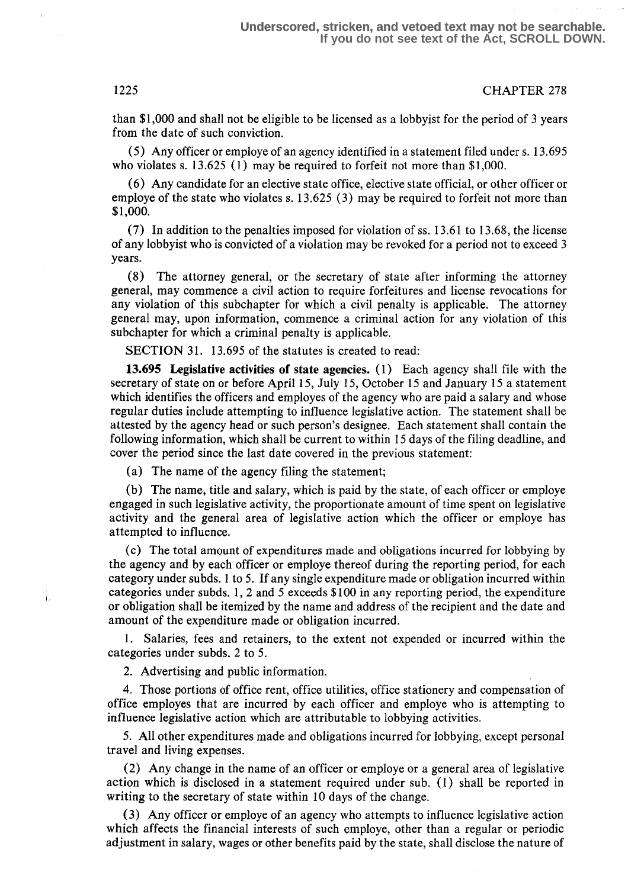than \$1,000 and shall not be eligible to be licensed as a lobbyist for the period of 3 years from the date of such conviction.

(5) Any officer or employe of an agency identified in a statement filed under s. 13 .695 who violates s. 13.625 (1) may be required to forfeit not more than \$1,000.

(6) Any candidate for an elective state office, elective state official, or other officer or employe of the state who violates s. 13.625 (3) may be required to forfeit not more than \$1,000.

(7) In addition to the penalties imposed for violation of ss . 13 .61 to 13.68, the license of any lobbyist who is convicted of a violation may be revoked for a period not to exceed 3 years.

(8) The attorney general, or the secretary of state after informing the attorney general, may commence a civil action to require forfeitures and license revocations for any violation of this subchapter for which a civil penalty is applicable . The attorney general may, upon information, commence a criminal action for any violation of this subchapter for which a criminal penalty is applicable.

SECTION 31. 13.695 of the statutes is created to read:

13.695 Legislative activities of state agencies. (1) Each agency shall file with the secretary of state on or before April 15, July 15, October 15 and January 15 a statement which identifies the officers and employes of the agency who are paid a salary and whose regular duties include attempting to influence legislative action . The statement shall be attested by the agency head or such person's designee. Each statement shall contain the following information, which shall be current to within 15 days of the filing deadline, and cover the period since the last date covered in the previous statement:

(a) The name of the agency filing the statement;

(b) The name, title and salary, which is paid by the state, of each officer or employe engaged in such legislative activity, the proportionate amount of time spent on legislative activity and the general area of legislative action which the officer or employe has attempted to influence.

(c) The total amount of expenditures made and obligations incurred for lobbying by the agency and by each officer or employe thereof during the reporting period, for each category under subds. 1 to 5. If any single expenditure made or obligation incurred within categories under subds. 1, 2 and 5 exceeds \$100 in any reporting period, the expenditure or obligation shall be itemized by the name and address of the recipient and the date and amount of the expenditure made or obligation incurred.

<sup>1</sup> . Salaries, fees and retainers, to the extent not expended or incurred within the categories under subds. 2 to 5.

2. Advertising and public information.

4. Those portions of office rent, office utilities, office stationery and compensation of office employes that are incurred by each officer and employe who is attempting to influence legislative action which are attributable to lobbying activities.

5. All other expenditures made and obligations incurred for lobbying, except personal travel and living expenses.

(2) Any change in the name of an officer or employe or a general area of legislative action which is disclosed in a statement required under sub. (1) shall be reported in writing to the secretary of state within 10 days of the change.

(3) Any officer or employe of an agency who attempts to influence legislative action which affects the financial interests of such employe, other than a regular or periodic adjustment in salary, wages or other benefits paid by the state, shall disclose the nature of

 $\mathbb{F}^2$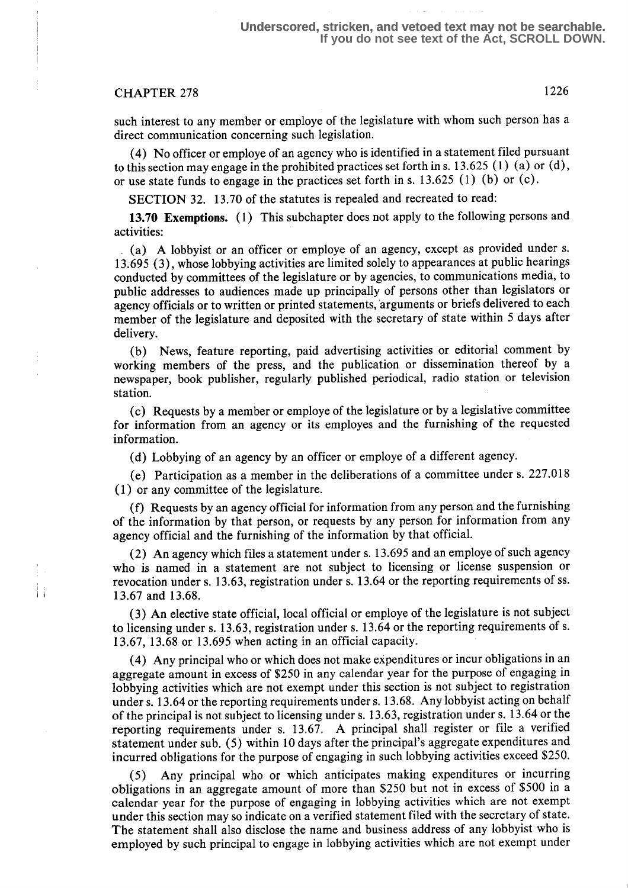## **Underscored, stricken, and vetoed text may not be searchable. If you do not see text of the Act, SCROLL DOWN.**

# CHAPTER 278 1226

such interest to any member or employe of the legislature with whom such person has a direct communication concerning such legislation.

(4) No officer or employe of an agency who is identified in a statement filed pursuant to this section may engage in the prohibited practices set forth in s. 13 .625 (1) (a) or (d), or use state funds to engage in the practices set forth in s. 13 .625 (1) (b) or (c) .

SECTION 32. 13 .70 of the statutes is repealed and recreated to read:

13.70 Exemptions. (1) This subchapter does not apply to the following persons and activities:

(a) A lobbyist or an officer or employe of an agency, except as provided under s. <sup>13</sup> .695 (3), whose lobbying activities are limited solely to appearances at public hearings conducted by committees of the legislature or by agencies, to communications media, to public addresses to audiences made up principally of persons other than legislators or agency officials or to written or printed statements,'arguments or briefs delivered to each member of the legislature and deposited with the secretary of state within 5 days after delivery.

(b) News, feature reporting, paid advertising activities or editorial comment by working members of the press, and the publication or dissemination thereof by a newspaper, book publisher, regularly published periodical, radio station or television station.

(c) Requests by a member or employe of the legislature or by a legislative committee for information from an agency or its employes and the furnishing of the requested information.

(d) Lobbying of an agency by an officer or employe of a different agency.

(e) Participation as a member in the deliberations of a committee under s. 227.018 (1) or any committee of the legislature.

(f) Requests by an agency official for information from any person and the furnishing of the information by that person, or requests by any person for information from any agency official and the furnishing of the information by that official .

(2) An agency which files a statement under s. 13 .695 and an employe of such agency who is named in a statement are not subject to licensing or license suspension or revocation under s. 13.63, registration under s. 13.64 or the reporting requirements of ss . 13.67 and 13.68.

(3) An elective state official, local official or employe of the legislature is not subject to licensing under s. 13 .63, registration under s. 13 .64 or the reporting requirements of s. 13.67, 13 .68 or 13 .695 when acting in an official capacity.

(4) Any principal who or which does not make expenditures or incur obligations in an aggregate amount in excess of \$250 in any calendar year for the purpose of engaging in lobbying activities which are not exempt under this section is not subject to registration under s. 13 .64 or the reporting requirements under s. 13 .68. Any lobbyist acting on behalf of the principal is not subject to licensing under s. 13.63, registration under s. 13.64 or the reporting requirements under s. 13.67. A principal shall register or file a verified statement under sub. (5) within 10 days after the principal's aggregate expenditures and incurred obligations for the purpose of engaging in such lobbying activities exceed \$250.

Any principal who or which anticipates making expenditures or incurring obligations in an aggregate amount of more than \$250 but not in excess of \$500 in a calendar year for the purpose of engaging in lobbying activities which are not exempt under this section may so indicate on a verified statement filed with the secretary of state. The statement shall also disclose the name and business address of any lobbyist who is employed by such principal to engage in lobbying activities which are not exempt under